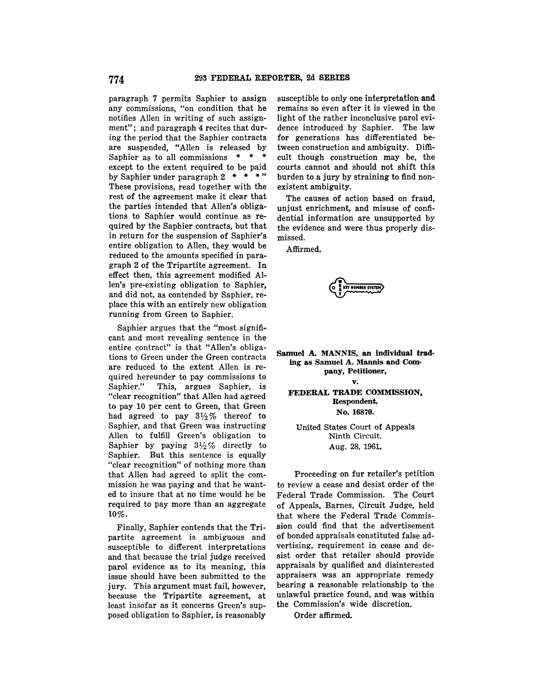paragraph 7 permits Saphier to assign any commissions, "on condition that he notifies Allen in writing of such assignment"; and paragraph 4 recites that during the period that the Saphier contracts are suspended, "Allen is released by Saphier as to all commissions \* \* \* except to the extent required to be paid by Saphier under paragraph 2 \* \* \* " These provisions, read together with the rest of the agreement make it clear that the parties intended that Allen's obligations to Saphier would continue as required by the Saphier contracts, but that in return for the suspension of Saphier's entire obligation to Allen, they would be reduced to the amounts specified in paragraph 2 of the Tripartite agreement. In effect then, this agreement modified Allen's pre-existing obligation to Saphier, and did not, as contended by Saphier, replace this with an entirely new obligation running from Green to Saphier.

Saphier argues that the "most significant and most revealing sentence in the entire contract" is that "Allen's obligations to Green under the Green contracts are reduced to the extent Allen is required hereunder to pay commissions to<br>Saphier." This, argues Saphier, is This, argues Saphier, is "clear recognition" that Allen had agreed to pay 10 per cent to Green, that Green had agreed to pay  $3\frac{1}{2}\%$  thereof to Saphier, and that Green was instructing Allen to fulfill Green's obligation to Saphier by paying  $3\frac{1}{2}\%$  directly to Saphier. But this sentence is equally "clear recognition" of nothing more than that Allen had agreed to split the commission he was paying and that he wanted to insure that at no time would he be required to pay more than an aggregate 10%.

Finally, Saphier contends that the Tripartite agreement is ambiguous and susceptible to different interpretations and that because the trial judge received parol evidence as to its meaning, this issue should have been submitted to the jury. This argument must fail, however, because the Tripartite agreement, at least insofar as it concerns Green's supposed obligation to Saphier, is reasonably

susceptible to only one interpretation and remains so even after it is viewed in the light of the rather inconclusive parol evidence introduced by Saphier. The law for generations has differentiated between construction and ambiguity. Difficult though construction may be, the courts cannot and should not shift this burden to a jury by straining to find nonexistent ambiguity.

The causes of action based on fraud, unjust enrichment, and misuse of confidential information are unsupported by the evidence and were thus properly dismissed.

Affirmed.

**0**<br>
• F KEY NUMBER SYSTEM **T** 

**Samuel A. MANNIS, an Individual trading as Samuel A. Mannis and Company, Petitioner, v. FEDERAL TRADE COMMISSION, Respondent. No. 16870,** 

> United States Court of Appeals Ninth Circuit. Aug. 28, 1961.

Proceeding on fur retailer's petition to review a cease and desist order of the Federal Trade Commission. The Court of Appeals, Barnes, Circuit Judge, held that where the Federal Trade Commission could find that the advertisement of bonded appraisals constituted false advertising, requirement in cease and desist order that retailer should provide appraisals by qualified and disinterested appraisers was an appropriate remedy bearing a reasonable relationship to the unlawful practice found, and was within the Commission's wide discretion.

Order affirmed.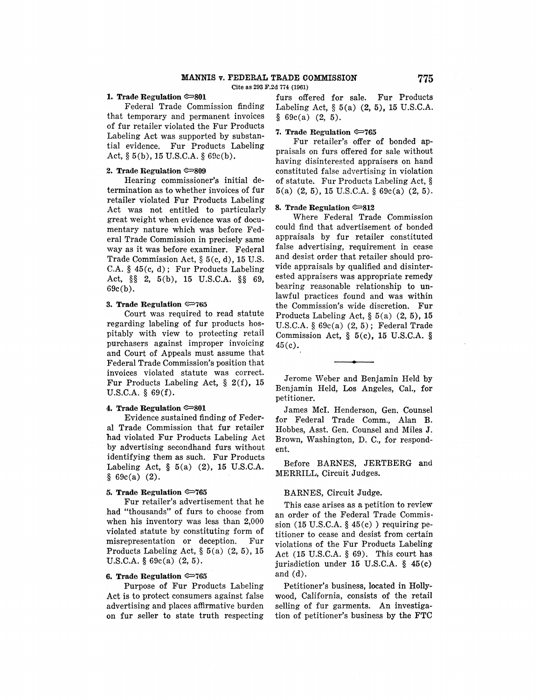# **MANNIS v. FEDERAL TRADE COMMISSION 775**

Cite as 293 F.2d 774 (1961)

## **1. Trade Regulation**  $\infty$ **801**

Federal Trade Commission finding that temporary and permanent invoices of fur retailer violated the Fur Products Labeling Act was supported by substantial evidence. Fur Products Labeling Act, § 5(b), 15 U.S.C.A. § 69c(b).

## **2. Trade Regulation**  $\approx 809$

Hearing commissioner's initial determination as to whether invoices of fur retailer violated Fur Products Labeling Act was not entitled to particularly great weight when evidence was of documentary nature which was before Federal Trade Commission in precisely same way as it was before examiner. Federal Trade Commission Act,§ 5(c, d), 15 U.S. C.A. § 45(c, d); Fur Products Labeling Act, §§ 2, 5(b), 15 U.S.C.A. §§ 69, 69c(b).

## **3. Trade Regulation**  $\infty$ **765**

Court was required to read statute regarding labeling of fur products hospitably with view to protecting retail purchasers against improper invoicing and Court of Appeals must assume that Federal Trade Commission's position that invoices violated statute was correct. Fur Products Labeling Act, § 2(f), 15 U.S.C.A. § 69(f).

### **4. Trade Regulation**  $\infty$ **801**

Evidence sustained finding of Federal Trade Commission that fur retailer had violated Fur Products Labeling Act by advertising secondhand furs without identifying them as such. Fur Products Labeling Act,  $\S$  5(a) (2), 15 U.S.C.A.  $§ 69c(a) (2).$ 

## 5. **Trade Regulation** <P765

Fur retailer's advertisement that he had "thousands" of furs to choose from when his inventory was less than 2,000 violated statute by constituting form of misrepresentation or deception. Fur Products Labeling Act,  $\S 5(a)$  (2, 5), 15 U.S.C.A. § 69c(a) (2, 5).

#### **6. Trade Regulation** <P765

Purpose of Fur Products Labeling Act is to protect consumers against false advertising and places affirmative burden on fur seller to state truth respecting

furs offered for sale. Fur Products Labeling Act, § 5(a) (2, 5), 15 U.S.C.A.  $§ 69c(a) (2, 5).$ 

## **7. Trade Regulation <P765**

Fur retailer's offer of bonded appraisals on furs offered for sale without having disinterested appraisers on hand constituted false advertising in violation of statute. Fur Products Labeling Act, § 5(a) (2, 5), 15 U.S.C.A. § 69c(a) (2, 5).

#### **8. Trade Regulation**  $\infty$ **812**

Where Federal Trade Commission could find that advertisement of bonded appraisals by fur retailer constituted false advertising, requirement in cease and desist order that retailer should provide appraisals by qualified and disinterested appraisers was appropriate remedy bearing reasonable relationship to unlawful practices found and was within the Commission's wide discretion. Fur Products Labeling Act, § 5(a) (2, 5), 15 U.S.C.A. § 69c(a) (2, 5); Federal Trade Commission Act, § 5(c), 15 U.S.C.A. § 45(c).

Jerome Weber and Benjamin Held by Benjamin Held, Los Angeles, Cal., **for**  petitioner.

James Mel. Henderson, Gen. Counsel for Federal Trade Comm., Alan **B.**  Hobbes, Asst. Gen. Counsel and Miles **J.**  Brown, Washington, D. C., for respondent.

Before BARNES, JERTBERG and MERRILL, Circuit Judges.

### BARNES, Circuit Judge.

This case arises as a petition to review an order of the Federal Trade Commis• sion (15 U.S.C.A.  $\S$  45(c)) requiring petitioner to cease and desist from certain violations of the Fur Products Labeling Act (15 U.S.C.A. § 69). This court has jurisdiction under 15 U.S.C.A. § 45(c) and (d).

Petitioner's business, located in Holly~ wood, California, consists of the retail selling of fur garments. An investigation of petitioner's business by the FTC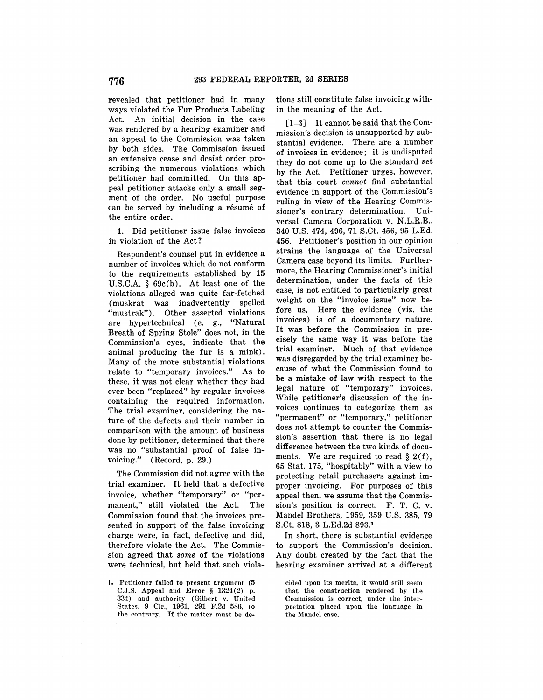revealed that petitioner had in many ways violated the Fur Products Labeling Act. An initial decision in the case was rendered by a hearing examiner and **an** appeal to the Commission was taken by both sides. The Commission issued an extensive cease and desist order proscribing the numerous violations which petitioner had committed. On this appeal petitioner attacks only a small segment of the order. No useful purpose can be served by including a résumé of the entire order.

**1.** Did petitioner issue false invoices in violation of the Act?

Respondent's counsel put in evidence a number of invoices which do not conform to the requirements established by **15**  U.S.C.A. § 69c(b). At least one of the violations alleged was quite far-fetched (muskrat was inadvertently spelled "mustrak"). Other asserted violations are hypertechnical (e. g., "Natural Breath of Spring Stole" does not, in the Commission's eyes, indicate that the animal producing the fur is a mink). Many of the more substantial violations relate to "temporary invoices." As to these, it was not clear whether they had ever been "replaced" by regular invoices containing the required information. The trial examiner, considering the nature of the defects and their number in comparison with the amount of business done by petitioner, determined that there was no "substantial proof of false invoicing." (Record, p. 29.)

The Commission did not agree with the trial examiner. It held that a defective invoice, whether "temporary" or "permanent," still violated the Act. The Commission found that the invoices presented in support of the false invoicing charge were, in fact, defective and did, therefore violate the Act. The Commission agreed that *some* of the violations were technical, but held that such violations still constitute false invoicing within the meaning of the Act.

**[1-3]** It cannot be said that the Commission's decision is unsupported by substantial evidence. There are a number of invoices **in** evidence; it is undisputed they do not come up to the standard set by the Act. Petitioner urges, however, that this court *cannot* find substantial evidence in support of the Commission's ruling in view of the Hearing Commissioner's contrary determination. Universal Camera Corporation v. N.L.R.B., 340 U.S. 474, 496, **71** S.Ct. 456, 95 L.Ed. 456. Petitioner's position in our opinion strains the language of the Universal Camera case beyond its limits. Furthermore, the Hearing Commissioner's initial determination, under the facts of this case, is not entitled to particularly great weight on the "invoice issue" now before us. Here the evidence (viz. the invoices) is of a documentary nature. It was before the Commission in precisely the same way it was before the trial examiner. Much of that evidence was disregarded by the trial examiner because of what the Commission found to be a mistake of law with respect to the legal nature of "temporary" invoices. While petitioner's discussion of the invoices continues to categorize them as "permanent" or "temporary," petitioner does not attempt to counter the Commission's assertion that there is no legal difference between the two kinds of documents. We are required to read  $\S$  2(f), 65 Stat. 175, "hospitably" with a view to protecting retail purchasers against improper invoicing. For purposes of this appeal then, we assume that the Commission's position is correct. F. T. C. v. Mandel Brothers, 1959, 359 U.S. 385, 79 S.Ct. 818, 3 L.Ed.2d 893.1

In short, there is substantial evidence to support the Commission's decision. Any doubt created by the fact that the hearing examiner arrived at a different

cided upon its merits, it would still seem that the construction rendered by the Commission is correct, under the interpretation placed upon the language in the Mandel case.

I. Petitioner failed to present argument (5 C.J.S. Appeal and Error § 1324(2) p. 334) and authority (Gilbert v. United States, 9 Cir., 1961, 291 F.2d 586, to the contrary. If the matter must be de-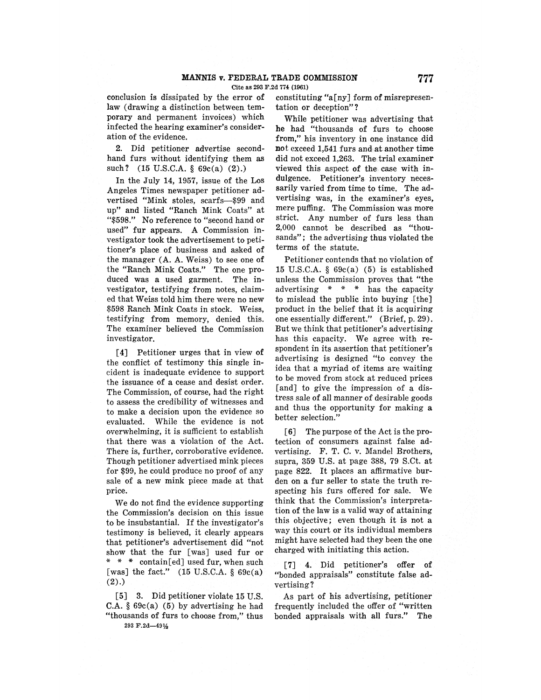conclusion is dissipated by the error of law (drawing a distinction between temporary and permanent invoices) which infected the hearing examiner's consideration of the evidence.

2. Did petitioner advertise secondhand furs without identifying them as such? (15 U.S.C.A. § 69c(a) (2).)

In the July 14, 1957, issue of the Los Angeles Times newspaper petitioner advertised "Mink stoles, scarfs-\$99 and up" and listed "Ranch Mink Coats" at "\$598." No reference to "second hand or used" fur appears. A Commission investigator took the advertisement to petitioner's place of business and asked of the manager (A. A. Weiss) to see one of the "Ranch Mink Coats." The one produced was a used garment. The investigator, testifying from notes, claimed that Weiss told him there were no new \$598 Ranch Mink Coats in stock. Weiss, testifying from memory, denied this. The examiner believed the Commission investigator.

[**4]** Petitioner urges that in view of the conflict of testimony this single incident is inadequate evidence to support the issuance of a cease and desist order. The Commission, of course, had the right to assess the credibility of witnesses and to make a decision upon the evidence so evaluated. While the evidence is not overwhelming, it is sufficient to establish that there was a violation of the Act. There is, further, corroborative evidence. Though petitioner advertised mink pieces for \$99, he could produce no proof of any sale of a new mink piece made at that price.

We do not find the evidence supporting the Commission's decision on this issue to be insubstantial. If the investigator's testimony is believed, it clearly appears that petitioner's advertisement did "not show that the fur [was] used fur or \* \* \* contain[ed] used fur, when such [was] the fact."  $(15 \text{ U.S.C.A. } § 69c(a))$ (2).)

[5] 3. Did petitioner violate 15 U.S. C.A.  $§ 69c(a)$  (5) by advertising he had "thousands of furs to choose from," thus 293 F.2d-49½

constituting "a[ny] form of misrepresentation or deception"?

While petitioner was advertising that he had "thousands of furs to choose from," his inventory in one instance did not exceed 1,541 furs and at another time did not exceed 1,263. The.trial examiner viewed this aspect of the case with indulgence. Petitioner's inventory necessarily varied from time to time. The advertising was, in the examiner's eyes, mere puffing. The Commission was more strict. Any number of furs less than 2,000 cannot be described as "thousands"; the advertising thus violated the terms of the statute.

Petitioner contends that no violation of 15 U.S.C.A.  $\S$  69 $c(a)$  (5) is established unless the Commission proves that "the advertising \* \* \* has the capacity to mislead the public into buying [the] product in the belief that it is acquiring one essentially different." (Brief, p. 29). But we think that petitioner's advertising has this capacity. We agree with respondent in its assertion that petitioner's advertising is designed "to convey the idea that a myriad of items are waiting to be moved from stock at reduced prices [and] to give the impression of a distress sale of all manner of desirable goods and thus the opportunity for making a better selection."

[6] The purpose of the Act is the protection of consumers against false advertising. F. T. C. v. Mandel Brothers, supra, 359 U.S. at page 388, 79 S.Ct. at page 822. It places an affirmative burden on a fur seller to state the truth respecting his furs offered for sale. We think that the Commission's interpretation of the law is a valid way of attaining this objective; even though it is not a way this court or its individual members might have selected had they been the one charged with initiating this action.

[7] 4. Did petitioner's offer of "bonded appraisals" constitute false advertising?

As part of his advertising, petitioner frequently included the offer of "written bonded appraisals with all furs." The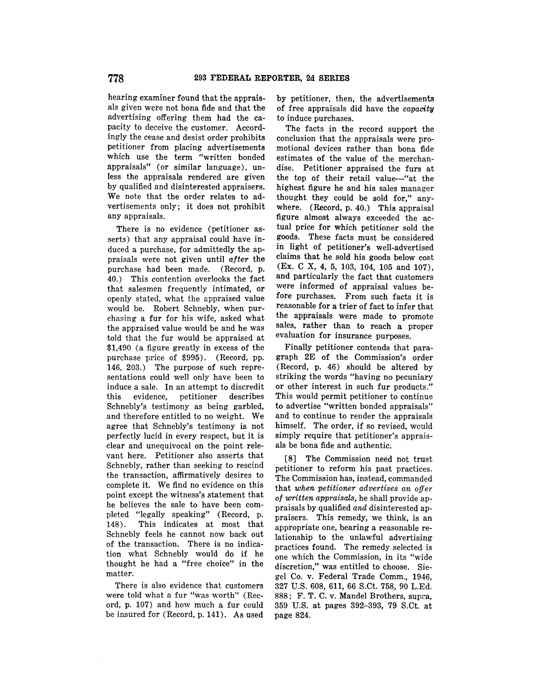hearing examiner found that the appraisals given were not bona fide and that the advertising offering them had the capacity to deceive the customer. Accordingly the cease and desist order prohibits petitioner from placing advertisements which use the term "written bonded appraisals" (or similar language), unless the appraisals rendered are given by qualified and disinterested appraisers. We note that the order relates to advertisements only; it does not prohibit any appraisals.

There is no evidence (petitioner asserts) that any appraisal could have induced a purchase, for admittedly the appraisals were not given until *after* the purchase had been made. (Record, p. 40.) This contention overlooks the fact that salesmen frequently intimated, or openly stated, what the appraised value would be. Robert Schnebly, when purchasing a fur for his wife, asked what the appraised value would be and he was told that the fur would be appraised at \$1,490 (a figure greatly in excess of the purchase price of \$995). (Record, pp. 146, 203.) The purpose of such representations could well only have been to induce a sale. In an attempt to discredit this evidence, petitioner describes Schnebly's testimony as being garbled, and therefore entitled to no weight. We agree that Schnebly's testimony is not perfectly lucid in every respect, but it is clear and unequivocal on the point relevant here. Petitioner also asserts that Schnebly, rather than seeking to rescind the transaction, affirmatively desires to complete it. We find no evidence on this point except the witness's statement that he believes the sale to have been completed "legally speaking" (Record, p. 148). This indicates at most that Schnebly feels he cannot now back out of the transaction. There is no indication what Schnebly would do if he thought he had a "free choice" in the matter.

There is also evidence that customers were told what a fur "was worth" (Record, p. 107) and how much a fur could be insured for (Record, p. 141). As used **by** petitioner, then, the advertisements of free appraisals did have the *capacity* to induce purchases.

The facts in the record support the conclusion that the appraisals were promotional devices rather than bona fide estimates of the value of the merchandise. Petitioner appraised the furs at the top of their retail value-"at the highest figure he and his sales manager thought they could be sold for," anywhere. (Record, p. 40.) This appraisal figure almost always exceeded the actual price for which petitioner sold the goods. These facts must be considered in light of petitioner's well-advertised claims that he sold his goods below cost (Ex. C X, 4, 5, 103, 104, 105 and 107), and particularly the fact that customers were informed of appraisal values before purchases. From such facts it is reasonable for a trier of fact to infer that the appraisals were made to promote sales, rather than to reach a proper evaluation for insurance purposes.

Finally petitioner contends that paragraph 2E of the Commission's order (Record, p. 46) should be altered by striking the words "having no pecuniary or other interest in such fur products." This would permit petitioner to continue to advertise "written bonded appraisals" and to continue to render the appraisals himself. The order, if so revised, would simply require that petitioner's appraisals be bona fide and authentic.

[8] The Commission need not trust petitioner to reform his past practices. The Commission has, instead, commanded that *when petitioner advertises an offer*  of written appraisals, he shall provide appraisals by qualified *and* disinterested appraisers. This remedy, we think, is an appropriate one, bearing a reasonable relationship to the unlawful advertising practices found. The remedy selected is one which the Commission, in its "wide discretion," was entitled to choose. Siegel Co. v. Federal Trade Comm., 1946, 327 U.S. 608, 611, 66 S.Ct. 758, 90 L.Ed. 888; F. T. C. v. Mandel Brothers, supra, 359 U.S. at pages 392-393, 79 S.Ct. at page 824.